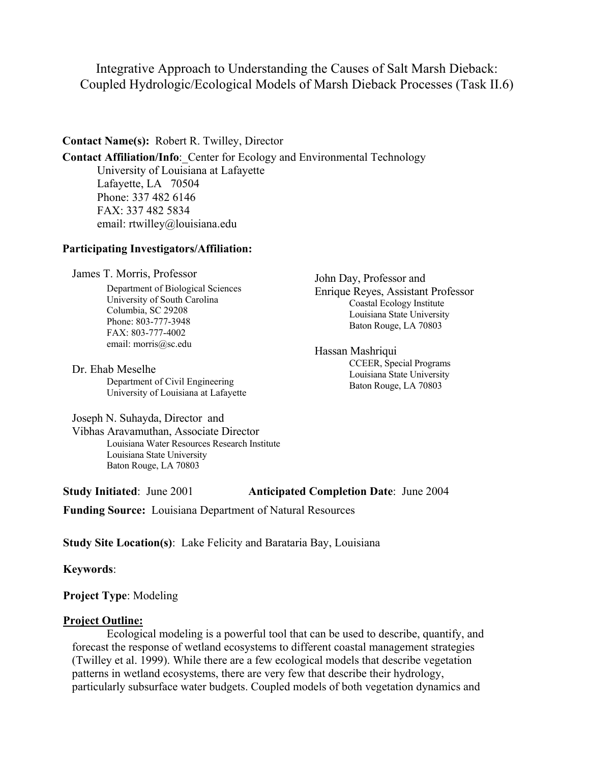Integrative Approach to Understanding the Causes of Salt Marsh Dieback: Coupled Hydrologic/Ecological Models of Marsh Dieback Processes (Task II.6)

## **Contact Name(s):** Robert R. Twilley, Director

**Contact Affiliation/Info**:\_Center for Ecology and Environmental Technology University of Louisiana at Lafayette Lafayette, LA 70504 Phone: 337 482 6146 FAX: 337 482 5834 email: rtwilley@louisiana.edu

## **Participating Investigators/Affiliation:**

James T. Morris, Professor

Department of Biological Sciences University of South Carolina Columbia, SC 29208 Phone: 803-777-3948 FAX: 803-777-4002 email: morris@sc.edu

Dr. Ehab Meselhe

Department of Civil Engineering University of Louisiana at Lafayette John Day, Professor and Enrique Reyes, Assistant Professor Coastal Ecology Institute Louisiana State University Baton Rouge, LA 70803

Hassan Mashriqui CCEER, Special Programs Louisiana State University Baton Rouge, LA 70803

Joseph N. Suhayda, Director and

Vibhas Aravamuthan, Associate Director Louisiana Water Resources Research Institute Louisiana State University Baton Rouge, LA 70803

**Study Initiated**: June 2001 **Anticipated Completion Date**: June 2004

**Funding Source:** Louisiana Department of Natural Resources

**Study Site Location(s)**: Lake Felicity and Barataria Bay, Louisiana

**Keywords**:

**Project Type**: Modeling

## **Project Outline:**

Ecological modeling is a powerful tool that can be used to describe, quantify, and forecast the response of wetland ecosystems to different coastal management strategies (Twilley et al. 1999). While there are a few ecological models that describe vegetation patterns in wetland ecosystems, there are very few that describe their hydrology, particularly subsurface water budgets. Coupled models of both vegetation dynamics and